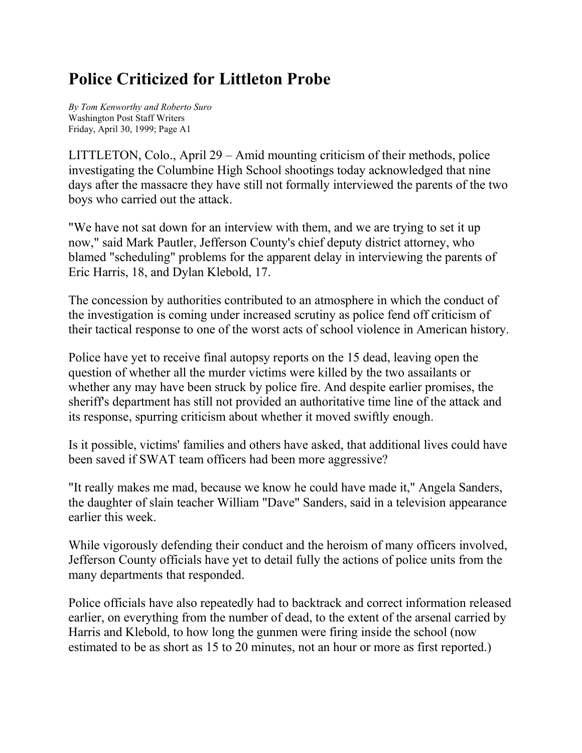## **Police Criticized for Littleton Probe**

*By Tom Kenworthy and Roberto Suro* Washington Post Staff Writers Friday, April 30, 1999; Page A1

LITTLETON, Colo., April 29 – Amid mounting criticism of their methods, police investigating the Columbine High School shootings today acknowledged that nine days after the massacre they have still not formally interviewed the parents of the two boys who carried out the attack.

"We have not sat down for an interview with them, and we are trying to set it up now," said Mark Pautler, Jefferson County's chief deputy district attorney, who blamed "scheduling" problems for the apparent delay in interviewing the parents of Eric Harris, 18, and Dylan Klebold, 17.

The concession by authorities contributed to an atmosphere in which the conduct of the investigation is coming under increased scrutiny as police fend off criticism of their tactical response to one of the worst acts of school violence in American history.

Police have yet to receive final autopsy reports on the 15 dead, leaving open the question of whether all the murder victims were killed by the two assailants or whether any may have been struck by police fire. And despite earlier promises, the sheriff's department has still not provided an authoritative time line of the attack and its response, spurring criticism about whether it moved swiftly enough.

Is it possible, victims' families and others have asked, that additional lives could have been saved if SWAT team officers had been more aggressive?

"It really makes me mad, because we know he could have made it," Angela Sanders, the daughter of slain teacher William "Dave" Sanders, said in a television appearance earlier this week.

While vigorously defending their conduct and the heroism of many officers involved, Jefferson County officials have yet to detail fully the actions of police units from the many departments that responded.

Police officials have also repeatedly had to backtrack and correct information released earlier, on everything from the number of dead, to the extent of the arsenal carried by Harris and Klebold, to how long the gunmen were firing inside the school (now estimated to be as short as 15 to 20 minutes, not an hour or more as first reported.)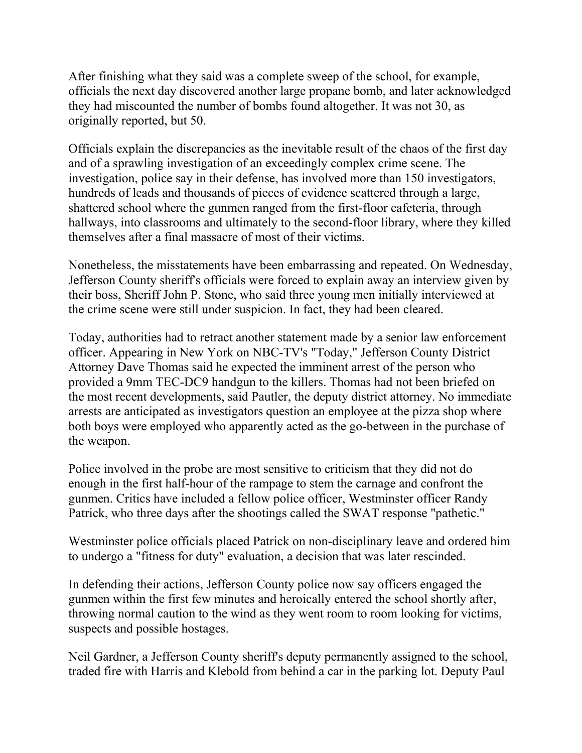After finishing what they said was a complete sweep of the school, for example, officials the next day discovered another large propane bomb, and later acknowledged they had miscounted the number of bombs found altogether. It was not 30, as originally reported, but 50.

Officials explain the discrepancies as the inevitable result of the chaos of the first day and of a sprawling investigation of an exceedingly complex crime scene. The investigation, police say in their defense, has involved more than 150 investigators, hundreds of leads and thousands of pieces of evidence scattered through a large, shattered school where the gunmen ranged from the first-floor cafeteria, through hallways, into classrooms and ultimately to the second-floor library, where they killed themselves after a final massacre of most of their victims.

Nonetheless, the misstatements have been embarrassing and repeated. On Wednesday, Jefferson County sheriff's officials were forced to explain away an interview given by their boss, Sheriff John P. Stone, who said three young men initially interviewed at the crime scene were still under suspicion. In fact, they had been cleared.

Today, authorities had to retract another statement made by a senior law enforcement officer. Appearing in New York on NBC-TV's "Today," Jefferson County District Attorney Dave Thomas said he expected the imminent arrest of the person who provided a 9mm TEC-DC9 handgun to the killers. Thomas had not been briefed on the most recent developments, said Pautler, the deputy district attorney. No immediate arrests are anticipated as investigators question an employee at the pizza shop where both boys were employed who apparently acted as the go-between in the purchase of the weapon.

Police involved in the probe are most sensitive to criticism that they did not do enough in the first half-hour of the rampage to stem the carnage and confront the gunmen. Critics have included a fellow police officer, Westminster officer Randy Patrick, who three days after the shootings called the SWAT response "pathetic."

Westminster police officials placed Patrick on non-disciplinary leave and ordered him to undergo a "fitness for duty" evaluation, a decision that was later rescinded.

In defending their actions, Jefferson County police now say officers engaged the gunmen within the first few minutes and heroically entered the school shortly after, throwing normal caution to the wind as they went room to room looking for victims, suspects and possible hostages.

Neil Gardner, a Jefferson County sheriff's deputy permanently assigned to the school, traded fire with Harris and Klebold from behind a car in the parking lot. Deputy Paul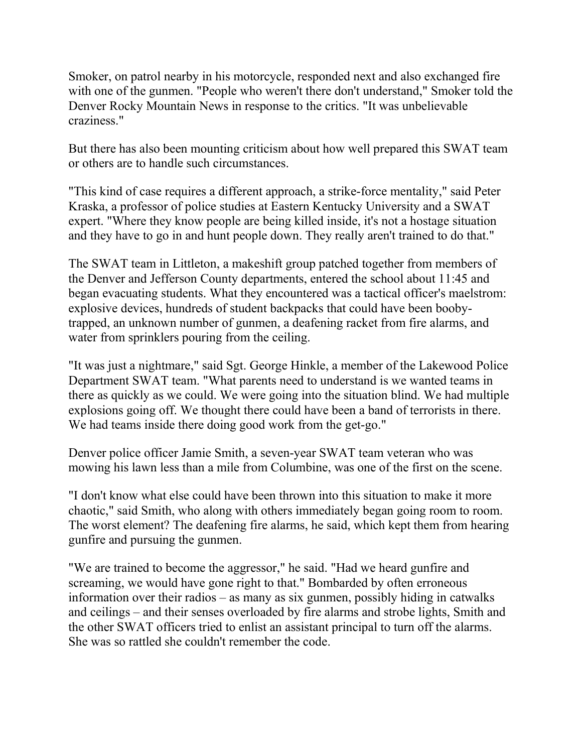Smoker, on patrol nearby in his motorcycle, responded next and also exchanged fire with one of the gunmen. "People who weren't there don't understand," Smoker told the Denver Rocky Mountain News in response to the critics. "It was unbelievable craziness."

But there has also been mounting criticism about how well prepared this SWAT team or others are to handle such circumstances.

"This kind of case requires a different approach, a strike-force mentality," said Peter Kraska, a professor of police studies at Eastern Kentucky University and a SWAT expert. "Where they know people are being killed inside, it's not a hostage situation and they have to go in and hunt people down. They really aren't trained to do that."

The SWAT team in Littleton, a makeshift group patched together from members of the Denver and Jefferson County departments, entered the school about 11:45 and began evacuating students. What they encountered was a tactical officer's maelstrom: explosive devices, hundreds of student backpacks that could have been boobytrapped, an unknown number of gunmen, a deafening racket from fire alarms, and water from sprinklers pouring from the ceiling.

"It was just a nightmare," said Sgt. George Hinkle, a member of the Lakewood Police Department SWAT team. "What parents need to understand is we wanted teams in there as quickly as we could. We were going into the situation blind. We had multiple explosions going off. We thought there could have been a band of terrorists in there. We had teams inside there doing good work from the get-go."

Denver police officer Jamie Smith, a seven-year SWAT team veteran who was mowing his lawn less than a mile from Columbine, was one of the first on the scene.

"I don't know what else could have been thrown into this situation to make it more chaotic," said Smith, who along with others immediately began going room to room. The worst element? The deafening fire alarms, he said, which kept them from hearing gunfire and pursuing the gunmen.

"We are trained to become the aggressor," he said. "Had we heard gunfire and screaming, we would have gone right to that." Bombarded by often erroneous information over their radios – as many as six gunmen, possibly hiding in catwalks and ceilings – and their senses overloaded by fire alarms and strobe lights, Smith and the other SWAT officers tried to enlist an assistant principal to turn off the alarms. She was so rattled she couldn't remember the code.